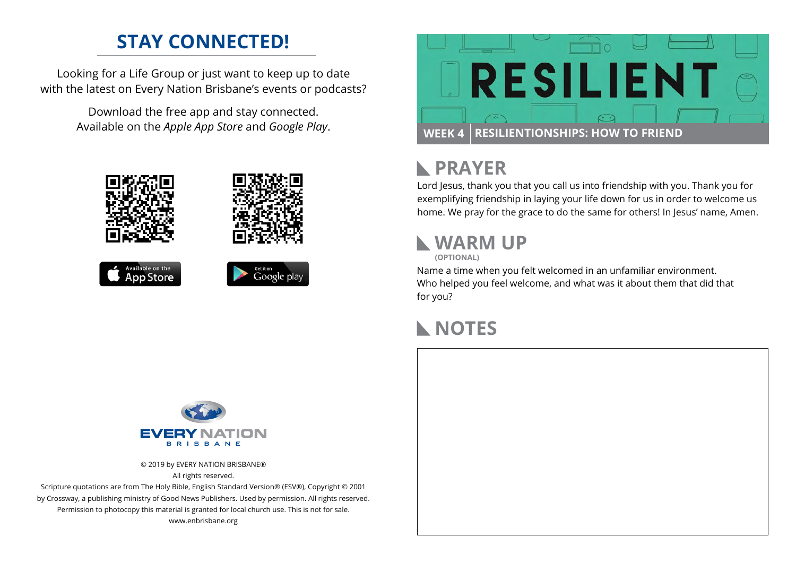## **STAY CONNECTED!**

Looking for a Life Group or just want to keep up to date with the latest on Every Nation Brisbane's events or podcasts?

> Download the free app and stay connected. Available on the *Apple App Store* and *Google Play*.





## **PRAYER**

Lord Jesus, thank you that you call us into friendship with you. Thank you for exemplifying friendship in laying your life down for us in order to welcome us home. We pray for the grace to do the same for others! In Jesus' name, Amen.

## **WARM UP**

**(OPTIONAL)**

Name a time when you felt welcomed in an unfamiliar environment. Who helped you feel welcome, and what was it about them that did that for you?

## **NOTES**



© 2019 by EVERY NATION BRISBANE® All rights reserved.

Scripture quotations are from The Holy Bible, English Standard Version® (ESV®), Copyright © 2001 by Crossway, a publishing ministry of Good News Publishers. Used by permission. All rights reserved. Permission to photocopy this material is granted for local church use. This is not for sale. www.enbrisbane.org